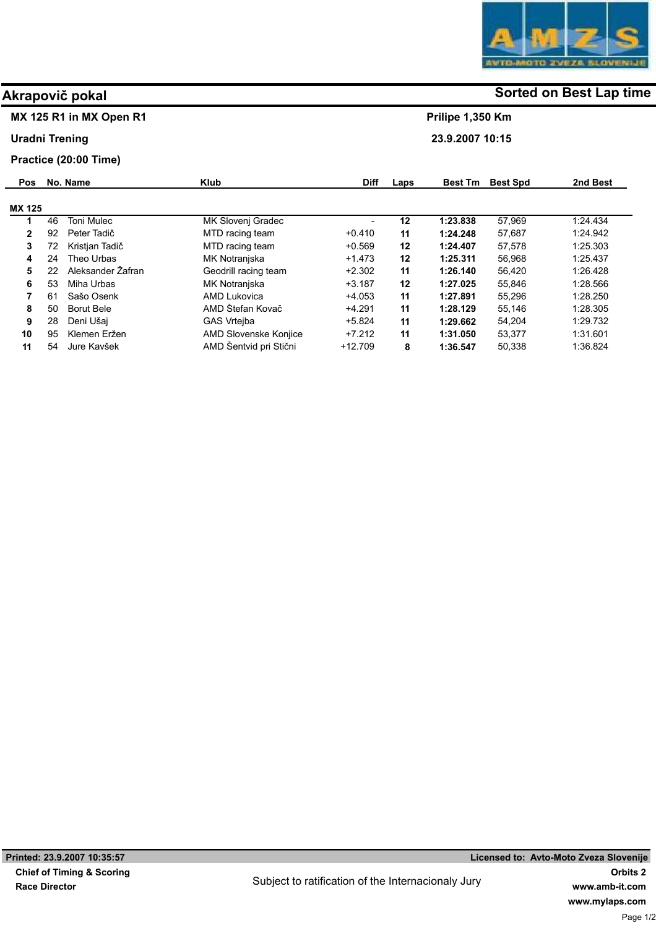## MX 125 R1 in MX Open R1

Uradni Trening

### Practice (20:00 Time)

| <b>Pos</b>    |    | No. Name          | <b>Klub</b>            | <b>Diff</b> | Laps    | <b>Best Tm</b> | <b>Best Spd</b> | 2nd Best |
|---------------|----|-------------------|------------------------|-------------|---------|----------------|-----------------|----------|
| <b>MX 125</b> |    |                   |                        |             |         |                |                 |          |
|               | 46 | <b>Toni Mulec</b> | MK Slovenj Gradec      |             | 12      | 1:23.838       | 57.969          | 1:24.434 |
| 2             | 92 | Peter Tadič       | MTD racing team        | $+0.410$    | 11      | 1:24.248       | 57.687          | 1:24.942 |
| 3             | 72 | Kristian Tadič    | MTD racing team        | $+0.569$    | 12      | 1:24.407       | 57.578          | 1:25.303 |
| 4             | 24 | Theo Urbas        | MK Notranjska          | $+1.473$    | $12 \,$ | 1:25.311       | 56.968          | 1:25.437 |
| 5             | 22 | Aleksander Žafran | Geodrill racing team   | $+2.302$    | 11      | 1:26.140       | 56.420          | 1:26.428 |
| 6             | 53 | Miha Urbas        | MK Notranjska          | $+3.187$    | 12      | 1:27.025       | 55.846          | 1:28.566 |
| 7             | 61 | Sašo Osenk        | AMD Lukovica           | $+4.053$    | 11      | 1:27.891       | 55.296          | 1:28.250 |
| 8             | 50 | Borut Bele        | AMD Štefan Kovač       | $+4.291$    | 11      | 1:28.129       | 55.146          | 1:28.305 |
| 9             | 28 | Deni Ušai         | <b>GAS Vrteiba</b>     | $+5.824$    | 11      | 1:29.662       | 54.204          | 1:29.732 |
| 10            | 95 | Klemen Eržen      | AMD Slovenske Konjice  | $+7.212$    | 11      | 1:31.050       | 53.377          | 1:31.601 |
| 11            | 54 | Jure Kavšek       | AMD Šentvid pri Stični | $+12.709$   | 8       | 1:36.547       | 50,338          | 1:36.824 |

# Akrapovič pokal and some of the society of the Sorted on Best Lap time

Prilipe 1,350 Km

23.9.2007 10:15